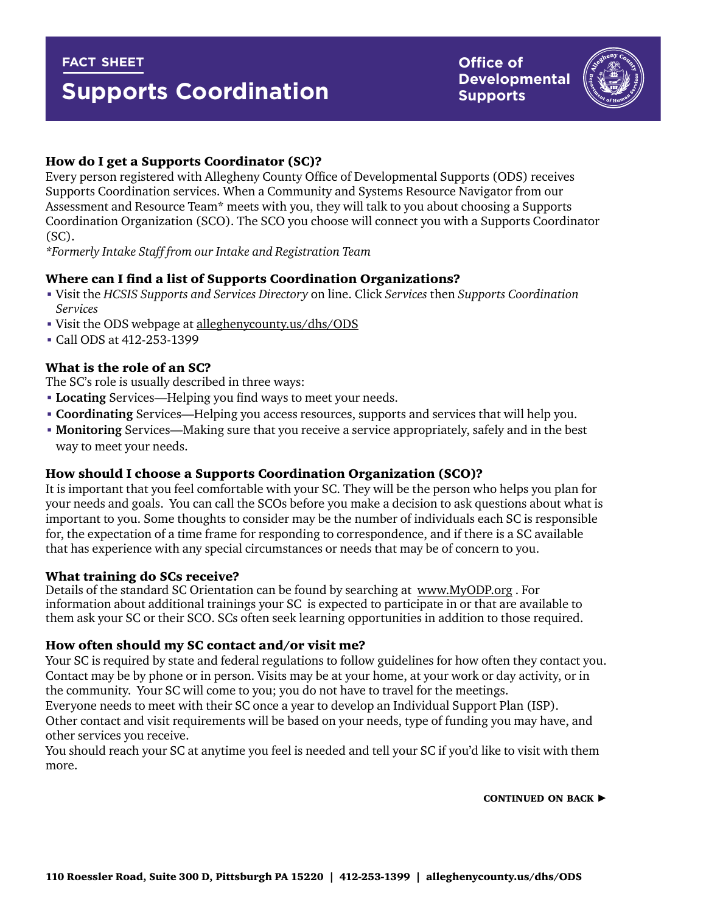## **fact sheet**

# **Supports Coordination**

**Office of Developmental Supports**



## How do I get a Supports Coordinator (SC)?

Every person registered with Allegheny County Office of Developmental Supports (ODS) receives Supports Coordination services. When a Community and Systems Resource Navigator from our Assessment and Resource Team\* meets with you, they will talk to you about choosing a Supports Coordination Organization (SCO). The SCO you choose will connect you with a Supports Coordinator (SC).

*\*Formerly Intake Staff from our Intake and Registration Team*

## Where can I find a list of Supports Coordination Organizations?

- Visit the *HCSIS Supports and Services Directory* on line. Click *Services* then *Supports Coordination Services*
- Visit the ODS webpage at [alleghenycounty.us/dhs/ODS](http://www.alleghenycounty.us/dhs/ID)
- Call ODS at 412-253-1399

## What is the role of an SC?

The SC's role is usually described in three ways:

- **Locating** Services—Helping you find ways to meet your needs.
- **Coordinating** Services—Helping you access resources, supports and services that will help you.
- **Monitoring** Services—Making sure that you receive a service appropriately, safely and in the best way to meet your needs.

## How should I choose a Supports Coordination Organization (SCO)?

It is important that you feel comfortable with your SC. They will be the person who helps you plan for your needs and goals. You can call the SCOs before you make a decision to ask questions about what is important to you. Some thoughts to consider may be the number of individuals each SC is responsible for, the expectation of a time frame for responding to correspondence, and if there is a SC available that has experience with any special circumstances or needs that may be of concern to you.

#### What training do SCs receive?

Details of the standard SC Orientation can be found by searching at [www.MyODP.org](http://www.MyODP.org) . For information about additional trainings your SC is expected to participate in or that are available to them ask your SC or their SCO. SCs often seek learning opportunities in addition to those required.

## How often should my SC contact and/or visit me?

Your SC is required by state and federal regulations to follow guidelines for how often they contact you. Contact may be by phone or in person. Visits may be at your home, at your work or day activity, or in the community. Your SC will come to you; you do not have to travel for the meetings.

Everyone needs to meet with their SC once a year to develop an Individual Support Plan (ISP). Other contact and visit requirements will be based on your needs, type of funding you may have, and other services you receive.

You should reach your SC at anytime you feel is needed and tell your SC if you'd like to visit with them more.

CONTINUED ON BACK  $\blacktriangleright$